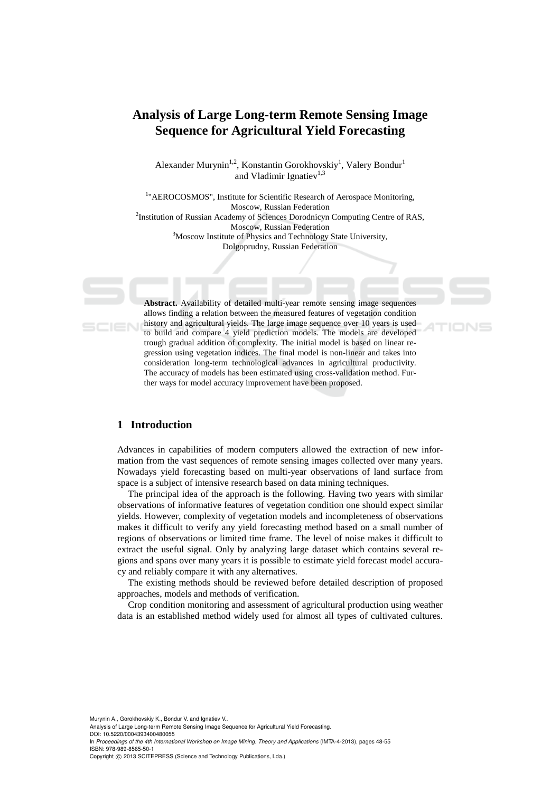# **Analysis of Large Long-term Remote Sensing Image Sequence for Agricultural Yield Forecasting**

Alexander Murynin<sup>1,2</sup>, Konstantin Gorokhovskiy<sup>1</sup>, Valery Bondur<sup>1</sup> and Vladimir Ignatiev<sup>1,3</sup>

<sup>1</sup>"AEROCOSMOS", Institute for Scientific Research of Aerospace Monitoring, Moscow, Russian Federation<br>
<sup>2</sup>Institution of Russian Academy of Sciences Dorodnicyn Computing Centre of RAS, Moscow, Russian Federation<br><sup>3</sup>Moscow Institute of Physics and Technology State University, Dolgoprudny, Russian Federation

**Abstract.** Availability of detailed multi-year remote sensing image sequences allows finding a relation between the measured features of vegetation condition history and agricultural yields. The large image sequence over 10 years is used to build and compare 4 yield prediction models. The models are developed trough gradual addition of complexity. The initial model is based on linear regression using vegetation indices. The final model is non-linear and takes into consideration long-term technological advances in agricultural productivity. The accuracy of models has been estimated using cross-validation method. Further ways for model accuracy improvement have been proposed.

#### **1 Introduction**

Advances in capabilities of modern computers allowed the extraction of new information from the vast sequences of remote sensing images collected over many years. Nowadays yield forecasting based on multi-year observations of land surface from space is a subject of intensive research based on data mining techniques.

The principal idea of the approach is the following. Having two years with similar observations of informative features of vegetation condition one should expect similar yields. However, complexity of vegetation models and incompleteness of observations makes it difficult to verify any yield forecasting method based on a small number of regions of observations or limited time frame. The level of noise makes it difficult to extract the useful signal. Only by analyzing large dataset which contains several regions and spans over many years it is possible to estimate yield forecast model accuracy and reliably compare it with any alternatives.

The existing methods should be reviewed before detailed description of proposed approaches, models and methods of verification.

Crop condition monitoring and assessment of agricultural production using weather data is an established method widely used for almost all types of cultivated cultures.

Murynin A., Gorokhovskiy K., Bondur V. and Ignatiev V.

Analysis of Large Long-term Remote Sensing Image Sequence for Agricultural Yield Forecasting. DOI: 10.5220/0004393400480055

In *Proceedings of the 4th International Workshop on Image Mining. Theory and Applications* (IMTA-4-2013), pages 48-55 ISBN: 978-989-8565-50-1

Copyright © 2013 SCITEPRESS (Science and Technology Publications, Lda.)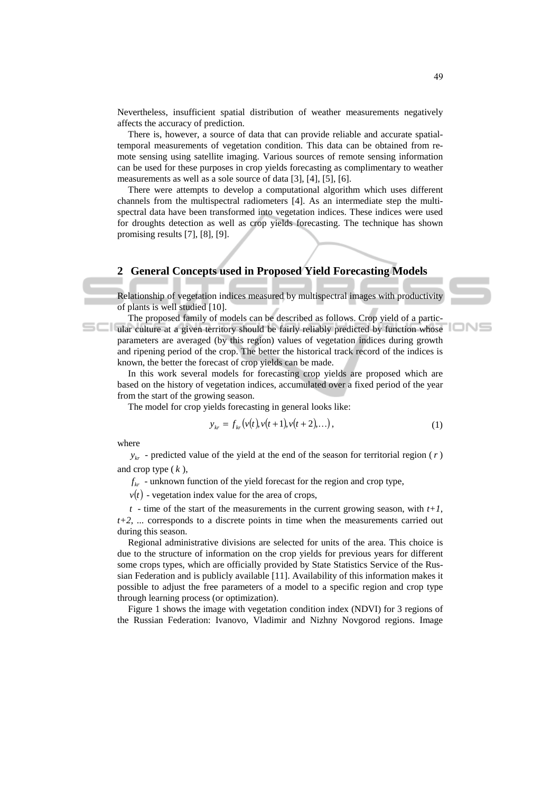Nevertheless, insufficient spatial distribution of weather measurements negatively affects the accuracy of prediction.

There is, however, a source of data that can provide reliable and accurate spatialtemporal measurements of vegetation condition. This data can be obtained from remote sensing using satellite imaging. Various sources of remote sensing information can be used for these purposes in crop yields forecasting as complimentary to weather measurements as well as a sole source of data [3], [4], [5], [6].

There were attempts to develop a computational algorithm which uses different channels from the multispectral radiometers [4]. As an intermediate step the multispectral data have been transformed into vegetation indices. These indices were used for droughts detection as well as crop yields forecasting. The technique has shown promising results [7], [8], [9].

## **2 General Concepts used in Proposed Yield Forecasting Models**

Relationship of vegetation indices measured by multispectral images with productivity of plants is well studied [10].

The proposed family of models can be described as follows. Crop yield of a partic-**Example 20** ular culture at a given territory should be fairly reliably predicted by function whose parameters are averaged (by this region) values of vegetation indices during growth and ripening period of the crop. The better the historical track record of the indices is known, the better the forecast of crop yields can be made.

In this work several models for forecasting crop yields are proposed which are based on the history of vegetation indices, accumulated over a fixed period of the year from the start of the growing season.

The model for crop yields forecasting in general looks like:

$$
y_{kr} = f_{kr}(v(t), v(t+1), v(t+2), \ldots), \qquad (1)
$$

where

 $y_{kr}$  - predicted value of the yield at the end of the season for territorial region (*r*) and crop type ( *k* ),

 $f_{kr}$  - unknown function of the yield forecast for the region and crop type,

 $v(t)$  - vegetation index value for the area of crops,

 $t -$  time of the start of the measurements in the current growing season, with  $t+1$ , *t+2*, *...* corresponds to a discrete points in time when the measurements carried out during this season.

Regional administrative divisions are selected for units of the area. This choice is due to the structure of information on the crop yields for previous years for different some crops types, which are officially provided by State Statistics Service of the Russian Federation and is publicly available [11]. Availability of this information makes it possible to adjust the free parameters of a model to a specific region and crop type through learning process (or optimization).

Figure 1 shows the image with vegetation condition index (NDVI) for 3 regions of the Russian Federation: Ivanovo, Vladimir and Nizhny Novgorod regions. Image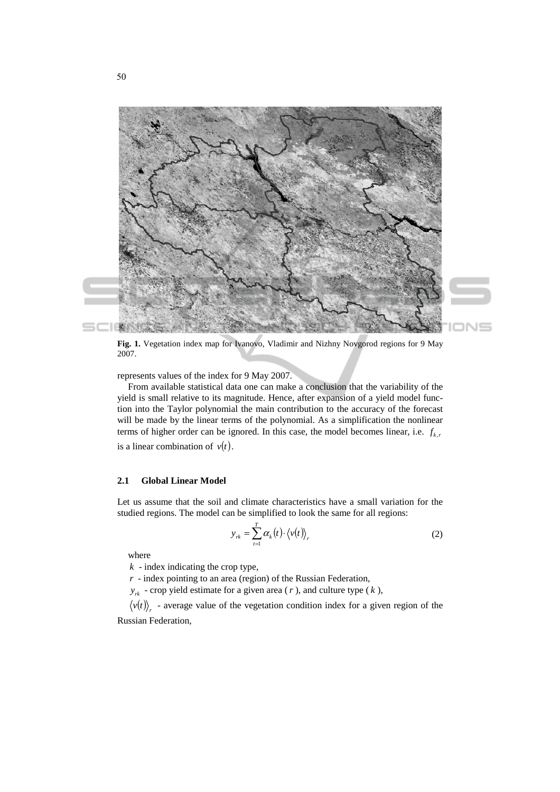



**Fig. 1.** Vegetation index map for Ivanovo, Vladimir and Nizhny Novgorod regions for 9 May 2007.

represents values of the index for 9 May 2007.

From available statistical data one can make a conclusion that the variability of the yield is small relative to its magnitude. Hence, after expansion of a yield model function into the Taylor polynomial the main contribution to the accuracy of the forecast will be made by the linear terms of the polynomial. As a simplification the nonlinear terms of higher order can be ignored. In this case, the model becomes linear, i.e.  $f_{k,r}$ is a linear combination of  $v(t)$ .

#### **2.1 Global Linear Model**

Let us assume that the soil and climate characteristics have a small variation for the studied regions. The model can be simplified to look the same for all regions:

$$
y_{rk} = \sum_{t=1}^{T} \alpha_k(t) \cdot \langle v(t) \rangle_r \tag{2}
$$

where

*k* - index indicating the crop type,

*r* - index pointing to an area (region) of the Russian Federation,

 $y_{rk}$  - crop yield estimate for a given area (*r*), and culture type (*k*),

 $\langle v(t) \rangle$  - average value of the vegetation condition index for a given region of the Russian Federation,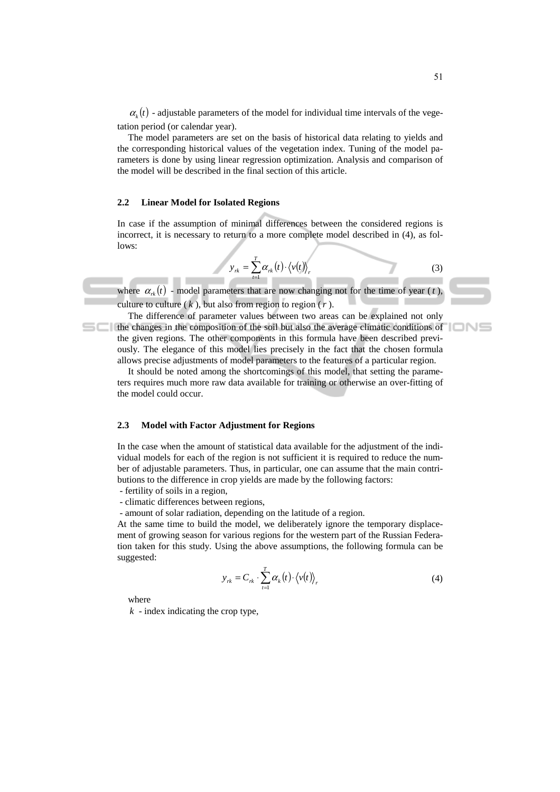$\alpha_k(t)$  - adjustable parameters of the model for individual time intervals of the vegetation period (or calendar year).

The model parameters are set on the basis of historical data relating to yields and the corresponding historical values of the vegetation index. Tuning of the model parameters is done by using linear regression optimization. Analysis and comparison of the model will be described in the final section of this article.

#### **2.2 Linear Model for Isolated Regions**

In case if the assumption of minimal differences between the considered regions is incorrect, it is necessary to return to a more complete model described in (4), as follows:

$$
y_{rk} = \sum_{t=1}^{T} \alpha_{rk}(t) \cdot \langle v(t) \rangle_r
$$
 (3)

where  $\alpha_{rk}(t)$  - model parameters that are now changing not for the time of year (*t*), culture to culture  $(k)$ , but also from region to region  $(r)$ .

The difference of parameter values between two areas can be explained not only the changes in the composition of the soil but also the average climatic conditions of the given regions. The other components in this formula have been described previously. The elegance of this model lies precisely in the fact that the chosen formula allows precise adjustments of model parameters to the features of a particular region.

It should be noted among the shortcomings of this model, that setting the parameters requires much more raw data available for training or otherwise an over-fitting of the model could occur.

#### **2.3 Model with Factor Adjustment for Regions**

In the case when the amount of statistical data available for the adjustment of the individual models for each of the region is not sufficient it is required to reduce the number of adjustable parameters. Thus, in particular, one can assume that the main contributions to the difference in crop yields are made by the following factors:

- fertility of soils in a region,
- climatic differences between regions,
- amount of solar radiation, depending on the latitude of a region.

At the same time to build the model, we deliberately ignore the temporary displacement of growing season for various regions for the western part of the Russian Federation taken for this study. Using the above assumptions, the following formula can be suggested:

$$
y_{rk} = C_{rk} \cdot \sum_{t=1}^{T} \alpha_k(t) \cdot \langle v(t) \rangle_r
$$
 (4)

where

*k* - index indicating the crop type,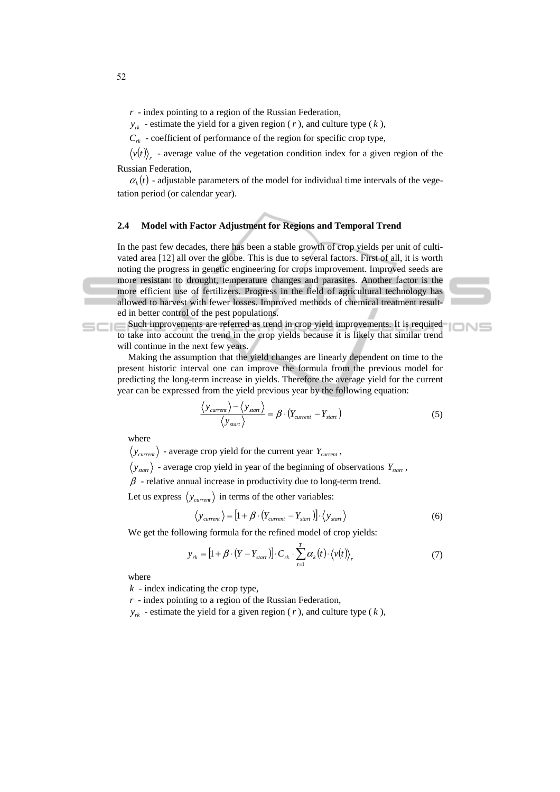*r* - index pointing to a region of the Russian Federation,

 $y_{rk}$  - estimate the yield for a given region (*r*), and culture type (*k*),

 $C_{rk}$  - coefficient of performance of the region for specific crop type,

 $\langle v(t) \rangle$  - average value of the vegetation condition index for a given region of the Russian Federation,

 $\alpha_k(t)$  - adjustable parameters of the model for individual time intervals of the vegetation period (or calendar year).

#### **2.4 Model with Factor Adjustment for Regions and Temporal Trend**

In the past few decades, there has been a stable growth of crop yields per unit of cultivated area [12] all over the globe. This is due to several factors. First of all, it is worth noting the progress in genetic engineering for crops improvement. Improved seeds are more resistant to drought, temperature changes and parasites. Another factor is the more efficient use of fertilizers. Progress in the field of agricultural technology has allowed to harvest with fewer losses. Improved methods of chemical treatment resulted in better control of the pest populations.

Such improvements are referred as trend in crop yield improvements. It is required to take into account the trend in the crop yields because it is likely that similar trend will continue in the next few years.

Making the assumption that the yield changes are linearly dependent on time to the present historic interval one can improve the formula from the previous model for predicting the long-term increase in yields. Therefore the average yield for the current year can be expressed from the yield previous year by the following equation:

$$
\frac{\langle y_{current} \rangle - \langle y_{start} \rangle}{\langle y_{start} \rangle} = \beta \cdot (Y_{current} - Y_{start})
$$
\n(5)

**IONS** 

where

 $\langle y_{current} \rangle$  - average crop yield for the current year  $Y_{current}$ ,

 $\langle y_{\text{start}} \rangle$  - average crop yield in year of the beginning of observations  $Y_{\text{start}}$ ,

 $\beta$  - relative annual increase in productivity due to long-term trend.

Let us express  $\langle y_{\text{current}} \rangle$  in terms of the other variables:

$$
\langle y_{\text{current}} \rangle = \left[ 1 + \beta \cdot (Y_{\text{current}} - Y_{\text{start}}) \right] \cdot \langle y_{\text{start}} \rangle \tag{6}
$$

We get the following formula for the refined model of crop yields:

$$
y_{rk} = [1 + \beta \cdot (Y - Y_{start})] \cdot C_{rk} \cdot \sum_{t=1}^{T} \alpha_k(t) \cdot \langle v(t) \rangle_r
$$
 (7)

where

*k* - index indicating the crop type,

*r* - index pointing to a region of the Russian Federation,

 $y_{rk}$  - estimate the yield for a given region (*r*), and culture type (*k*),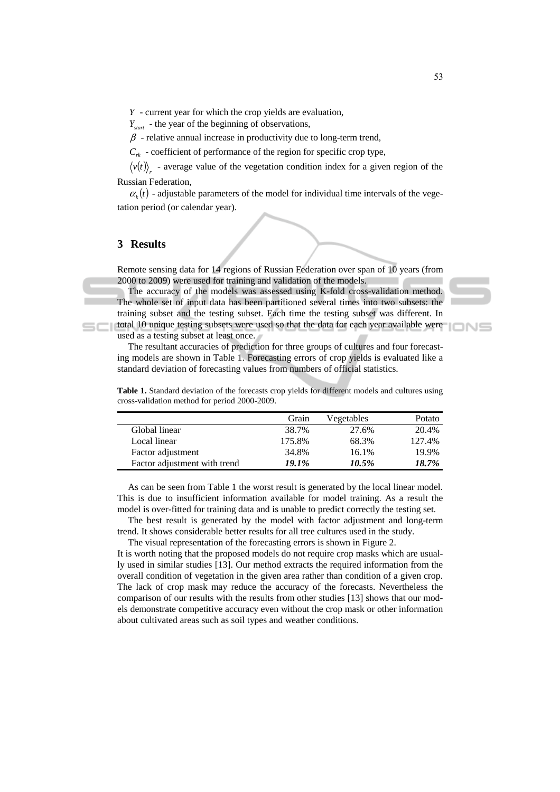*Y* - current year for which the crop yields are evaluation,

*Y<sub>start</sub>* - the year of the beginning of observations,

 $\beta$  - relative annual increase in productivity due to long-term trend,

 $C_{rk}$  - coefficient of performance of the region for specific crop type,

 $\langle v(t) \rangle$  - average value of the vegetation condition index for a given region of the Russian Federation,

 $\alpha<sub>k</sub>(t)$  - adjustable parameters of the model for individual time intervals of the vegetation period (or calendar year).

### **3 Results**

Remote sensing data for 14 regions of Russian Federation over span of 10 years (from 2000 to 2009) were used for training and validation of the models.

The accuracy of the models was assessed using K-fold cross-validation method. The whole set of input data has been partitioned several times into two subsets: the training subset and the testing subset. Each time the testing subset was different. In total 10 unique testing subsets were used so that the data for each year available were

used as a testing subset at least once.

The resultant accuracies of prediction for three groups of cultures and four forecasting models are shown in Table 1. Forecasting errors of crop yields is evaluated like a standard deviation of forecasting values from numbers of official statistics.

**Table 1.** Standard deviation of the forecasts crop yields for different models and cultures using cross-validation method for period 2000-2009.

|                              | Grain  | Vegetables | Potato |
|------------------------------|--------|------------|--------|
| Global linear                | 38.7%  | 27.6%      | 20.4%  |
| Local linear                 | 175.8% | 68.3%      | 127.4% |
| Factor adjustment            | 34.8%  | 16.1%      | 19.9%  |
| Factor adjustment with trend | 19.1%  | 10.5%      | 18.7%  |

As can be seen from Table 1 the worst result is generated by the local linear model. This is due to insufficient information available for model training. As a result the model is over-fitted for training data and is unable to predict correctly the testing set.

The best result is generated by the model with factor adjustment and long-term trend. It shows considerable better results for all tree cultures used in the study.

The visual representation of the forecasting errors is shown in Figure 2.

It is worth noting that the proposed models do not require crop masks which are usually used in similar studies [13]. Our method extracts the required information from the overall condition of vegetation in the given area rather than condition of a given crop. The lack of crop mask may reduce the accuracy of the forecasts. Nevertheless the comparison of our results with the results from other studies [13] shows that our models demonstrate competitive accuracy even without the crop mask or other information about cultivated areas such as soil types and weather conditions.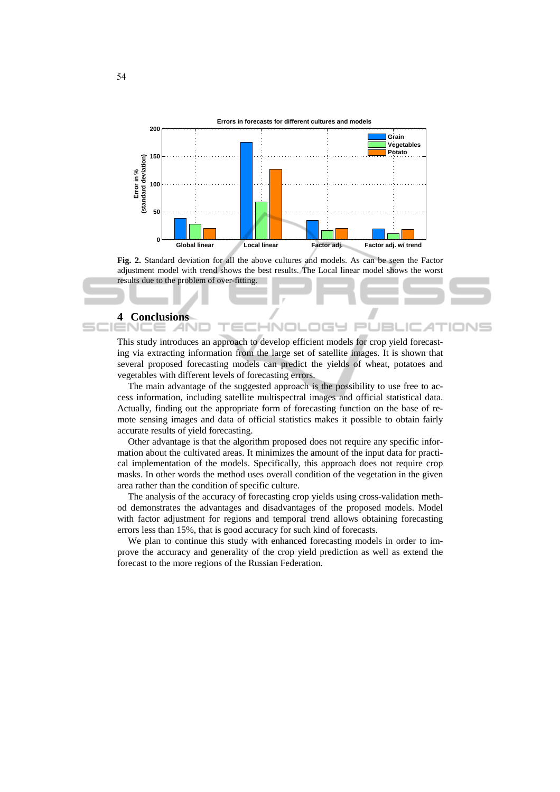

**Fig. 2.** Standard deviation for all the above cultures and models. As can be seen the Factor adjustment model with trend shows the best results. The Local linear model shows the worst results due to the problem of over-fitting.

#### **4 Conclusions**

This study introduces an approach to develop efficient models for crop yield forecasting via extracting information from the large set of satellite images. It is shown that several proposed forecasting models can predict the yields of wheat, potatoes and vegetables with different levels of forecasting errors.

IN

JE

The main advantage of the suggested approach is the possibility to use free to access information, including satellite multispectral images and official statistical data. Actually, finding out the appropriate form of forecasting function on the base of remote sensing images and data of official statistics makes it possible to obtain fairly accurate results of yield forecasting.

Other advantage is that the algorithm proposed does not require any specific information about the cultivated areas. It minimizes the amount of the input data for practical implementation of the models. Specifically, this approach does not require crop masks. In other words the method uses overall condition of the vegetation in the given area rather than the condition of specific culture.

The analysis of the accuracy of forecasting crop yields using cross-validation method demonstrates the advantages and disadvantages of the proposed models. Model with factor adjustment for regions and temporal trend allows obtaining forecasting errors less than 15%, that is good accuracy for such kind of forecasts.

We plan to continue this study with enhanced forecasting models in order to improve the accuracy and generality of the crop yield prediction as well as extend the forecast to the more regions of the Russian Federation.